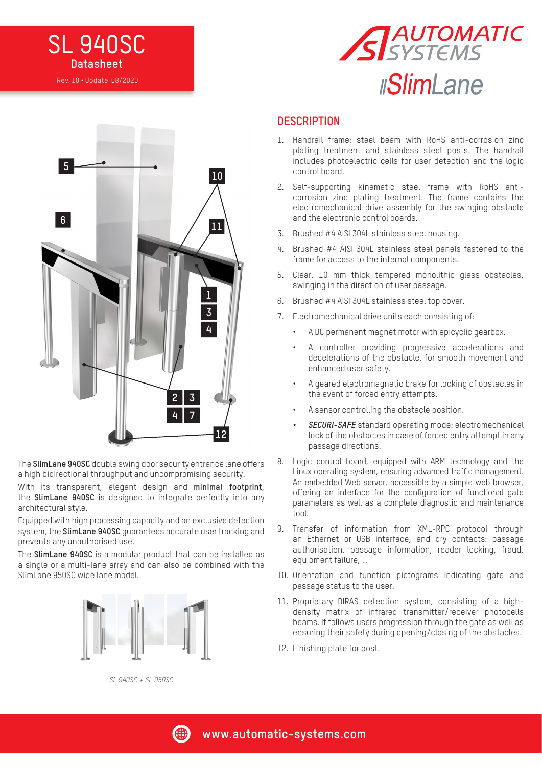# **SL 940SC Datasheet** Rev. 10 • Update 08/2020





The **SlimLane 940SC** double swing door security entrance lane offers a high bidirectional throughput and uncompromising security.

With its transparent, elegant design and **minimal footprint**, the **SlimLane 940SC** is designed to integrate perfectly into any architectural style.

Equipped with high processing capacity and an exclusive detection system, the **SlimLane 940SC** guarantees accurate user tracking and prevents any unauthorised use.

The **SlimLane 940SC** is a modular product that can be installed as a single or a multi-lane array and can also be combined with the SlimLane 950SC wide lane model.



#### **DESCRIPTION**

- 1. Handrail frame: steel beam with RoHS anti-corrosion zinc plating treatment and stainless steel posts. The handrail includes photoelectric cells for user detection and the logic control board.
- 2. Self-supporting kinematic steel frame with RoHS anticorrosion zinc plating treatment. The frame contains the electromechanical drive assembly for the swinging obstacle and the electronic control boards.
- 3. Brushed #4 AISI 304L stainless steel housing.
- 4. Brushed #4 AISI 304L stainless steel panels fastened to the frame for access to the internal components.
- 5. Clear, 10 mm thick tempered monolithic glass obstacles, swinging in the direction of user passage.
- 6. Brushed #4 AISI 304L stainless steel top cover.
- 7. Electromechanical drive units each consisting of:
	- A DC permanent magnet motor with epicyclic gearbox.
	- A controller providing progressive accelerations and decelerations of the obstacle, for smooth movement and enhanced user safety.
	- A geared electromagnetic brake for locking of obstacles in the event of forced entry attempts.
	- A sensor controlling the obstacle position.
	- *• SECURI-SAFE* standard operating mode: electromechanical lock of the obstacles in case of forced entry attempt in any passage directions.
- 8. Logic control board, equipped with ARM technology and the Linux operating system, ensuring advanced traffic management. An embedded Web server, accessible by a simple web browser, offering an interface for the configuration of functional gate parameters as well as a complete diagnostic and maintenance tool.
- 9. Transfer of information from XML-RPC protocol through an Ethernet or USB interface, and dry contacts: passage authorisation, passage information, reader locking, fraud, equipment failure, …
- 10. Orientation and function pictograms indicating gate and passage status to the user.
- 11. Proprietary DIRAS detection system, consisting of a highdensity matrix of infrared transmitter/receiver photocells beams. It follows users progression through the gate as well as ensuring their safety during opening/closing of the obstacles.
- 12. Finishing plate for post.

*SL 940SC + SL 950SC*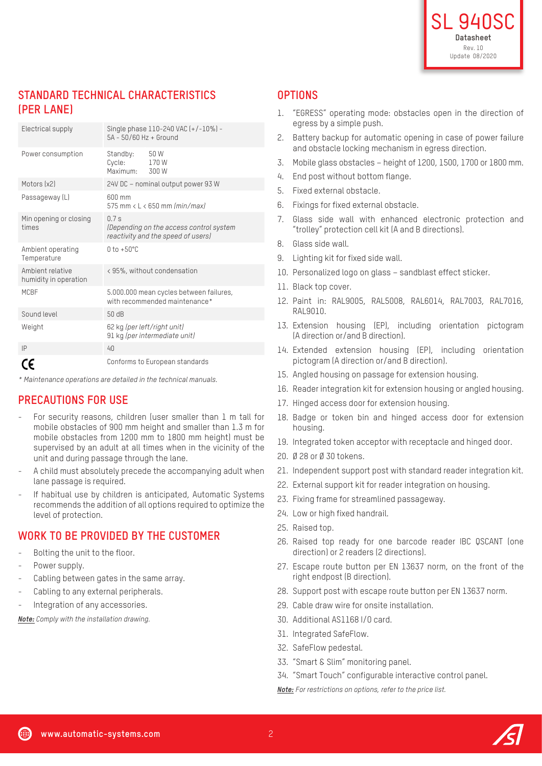# **STANDARD TECHNICAL CHARACTERISTICS (PER LANE)**

| Electrical supply                         | Single phase 110-240 VAC (+/-10%) -<br>5A - 50/60 Hz + Ground                        |               |
|-------------------------------------------|--------------------------------------------------------------------------------------|---------------|
| Power consumption                         | Standby:<br>Cycle:<br>Maximum: 300 W                                                 | 50 W<br>170 W |
| Motors (x2)                               | 24V DC - nominal output power 93 W                                                   |               |
| Passageway (L)                            | $600 \text{ mm}$<br>575 mm $\langle$ L $\langle$ 650 mm ( <i>min/max</i> )           |               |
| Min opening or closing<br>times           | 07s<br>(Depending on the access control system<br>reactivity and the speed of users) |               |
| Ambient operating<br>Temperature          | $0 \text{ to } +50^{\circ}$ C                                                        |               |
| Ambient relative<br>humidity in operation | <95%, without condensation                                                           |               |
| <b>MCBF</b>                               | 5.000.000 mean cycles between failures,<br>with recommended maintenance*             |               |
| Sound level                               | 50 dB                                                                                |               |
| Weight                                    | 62 kg (per left/right unit)<br>91 kg (per intermediate unit)                         |               |
| IP                                        | 40                                                                                   |               |
|                                           | Conforms to European standards                                                       |               |

*\* Maintenance operations are detailed in the technical manuals.*

#### **PRECAUTIONS FOR USE**

- For security reasons, children (user smaller than 1 m tall for mobile obstacles of 900 mm height and smaller than 1.3 m for mobile obstacles from 1200 mm to 1800 mm height) must be supervised by an adult at all times when in the vicinity of the unit and during passage through the lane.
- A child must absolutely precede the accompanying adult when lane passage is required.
- If habitual use by children is anticipated, Automatic Systems recommends the addition of all options required to optimize the level of protection.

#### **WORK TO BE PROVIDED BY THE CUSTOMER**

- Bolting the unit to the floor.
- Power supply.
- Cabling between gates in the same array.
- Cabling to any external peripherals.
- Integration of any accessories.

*Note: Comply with the installation drawing.*

#### **OPTIONS**

- 1. "EGRESS" operating mode: obstacles open in the direction of egress by a simple push.
- 2. Battery backup for automatic opening in case of power failure and obstacle locking mechanism in egress direction.
- 3. Mobile glass obstacles height of 1200, 1500, 1700 or 1800 mm.
- 4. End post without bottom flange.
- 5. Fixed external obstacle.
- 6. Fixings for fixed external obstacle.
- 7. Glass side wall with enhanced electronic protection and "trolley" protection cell kit (A and B directions).
- 8. Glass side wall.
- 9. Lighting kit for fixed side wall.
- 10. Personalized logo on glass sandblast effect sticker.
- 11. Black top cover.
- 12. Paint in: RAL9005, RAL5008, RAL6014, RAL7003, RAL7016, RAL9010.
- 13. Extension housing (EP), including orientation pictogram (A direction or/and B direction).
- 14. Extended extension housing (EP), including orientation pictogram (A direction or/and B direction).
- 15. Angled housing on passage for extension housing.
- 16. Reader integration kit for extension housing or angled housing.
- 17. Hinged access door for extension housing.
- 18. Badge or token bin and hinged access door for extension housing.
- 19. Integrated token acceptor with receptacle and hinged door.
- 20. Ø 28 or Ø 30 tokens.
- 21. Independent support post with standard reader integration kit.
- 22. External support kit for reader integration on housing.
- 23. Fixing frame for streamlined passageway.
- 24. Low or high fixed handrail.
- 25. Raised top.
- 26. Raised top ready for one barcode reader IBC QSCANT (one direction) or 2 readers (2 directions).
- 27. Escape route button per EN 13637 norm, on the front of the right endpost (B direction).
- 28. Support post with escape route button per EN 13637 norm.
- 29. Cable draw wire for onsite installation.
- 30. Additional AS1168 I/O card.
- 31. Integrated SafeFlow.
- 32. SafeFlow pedestal.
- 33. "Smart & Slim" monitoring panel.
- 34. "Smart Touch" configurable interactive control panel.

*Note: For restrictions on options, refer to the price list.*

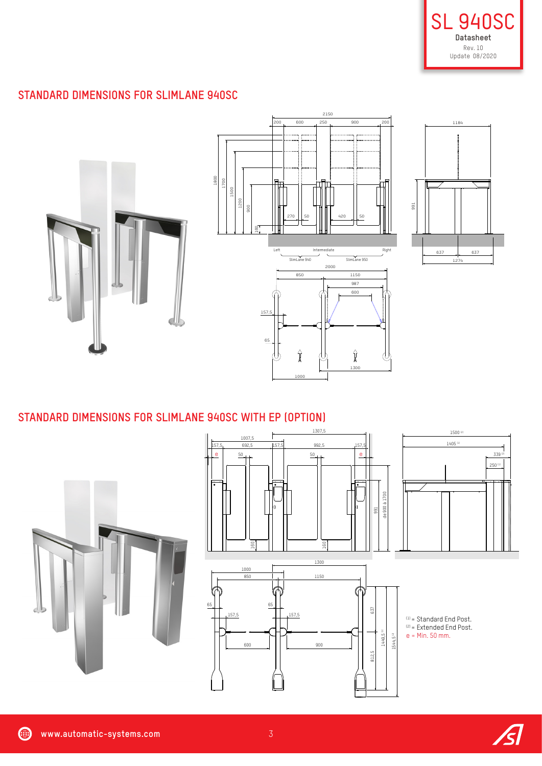

## **STANDARD DIMENSIONS FOR SLIMLANE 940SC**



#### **STANDARD DIMENSIONS FOR SLIMLANE 940SC WITH EP (OPTION)**